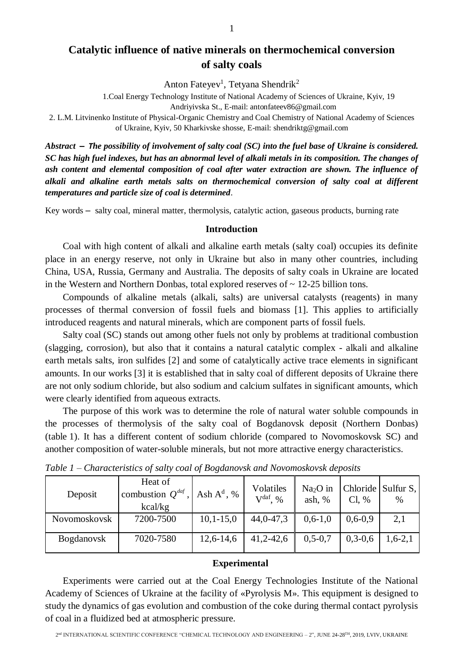# **Catalytic influence of native minerals on thermochemical conversion of salty coals**

Anton Fateyev<sup>1</sup>, Tetyana Shendrik<sup>2</sup>

1.Coal Energy Technology Institute of National Academy of Sciences of Ukraine, Kyiv, 19 Andriyivska St., E-mail: antonfateev86@gmail.com

2. L.M. Litvinenko Institute of Physical-Organic Chemistry and Coal Chemistry of National Academy of Sciences of Ukraine, Kyiv, 50 Kharkivske shosse, E-mail: shendriktg@gmail.com

*Abstract – The possibility of involvement of salty coal (SC) into the fuel base of Ukraine is considered. SC has high fuel indexes, but has an abnormal level of alkali metals in its composition. The changes of ash content and elemental composition of coal after water extraction are shown. The influence of alkali and alkaline earth metals salts on thermochemical conversion of salty coal at different temperatures and particle size of coal is determined*.

Key words – salty coal, mineral matter, thermolysis, catalytic action, gaseous products, burning rate

#### **Introduction**

Coal with high content of alkali and alkaline earth metals (salty coal) occupies its definite place in an energy reserve, not only in Ukraine but also in many other countries, including China, USA, Russia, Germany and Australia. The deposits of salty coals in Ukraine are located in the Western and Northern Donbas, total explored reserves of  $\sim$  12-25 billion tons.

Compounds of alkaline metals (alkali, salts) are universal catalysts (reagents) in many processes of thermal conversion of fossil fuels and biomass [1]. This applies to artificially introduced reagents and natural minerals, which are component parts of fossil fuels.

Salty coal (SC) stands out among other fuels not only by problems at traditional combustion (slagging, corrosion), but also that it contains a natural catalytic complex - alkali and alkaline earth metals salts, iron sulfides [2] and some of catalytically active trace elements in significant amounts. In our works [3] it is established that in salty coal of different deposits of Ukraine there are not only sodium chloride, but also sodium and calcium sulfates in significant amounts, which were clearly identified from aqueous extracts.

The purpose of this work was to determine the role of natural water soluble compounds in the processes of thermolysis of the salty coal of Bogdanovsk deposit (Northern Donbas) (table 1). It has a different content of sodium chloride (compared to Novomoskovsk SC) and another composition of water-soluble minerals, but not more attractive energy characteristics.

| Deposit           | Heat of<br>combustion $Q^{daf}$ ,<br>kcal/kg | Ash $A^d$ , % | Volatiles<br>$V^{daf}$ , % | $Na2O$ in<br>ash, $%$ | Cl, %     | Chloride Sulfur S.<br>$\%$ |
|-------------------|----------------------------------------------|---------------|----------------------------|-----------------------|-----------|----------------------------|
| Novomoskovsk      | 7200-7500                                    | $10,1-15,0$   | 44,0-47,3                  | $0,6-1,0$             | $0,6-0,9$ | 2,1                        |
| <b>Bogdanovsk</b> | 7020-7580                                    | $12,6 - 14,6$ | $41,2-42,6$                | $0, 5 - 0, 7$         | $0,3-0,6$ | $1, 6 - 2, 1$              |

*Table 1 – Characteristics of salty coal of Bogdanovsk and Novomoskovsk deposits*

## **Experimental**

Experiments were carried out at the Coal Energy Technologies Institute of the National Academy of Sciences of Ukraine at the facility of «Pyrolysis M». This equipment is designed to study the dynamics of gas evolution and combustion of the coke during thermal contact pyrolysis of coal in a fluidized bed at atmospheric pressure.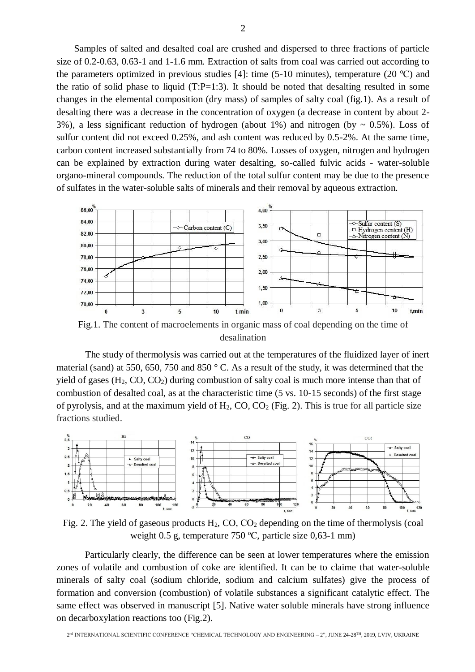Samples of salted and desalted coal are crushed and dispersed to three fractions of particle size of 0.2-0.63, 0.63-1 and 1-1.6 mm. Extraction of salts from coal was carried out according to the parameters optimized in previous studies [4]: time (5-10 minutes), temperature (20  $^{\circ}$ C) and the ratio of solid phase to liquid  $(T:P=1:3)$ . It should be noted that desalting resulted in some changes in the elemental composition (dry mass) of samples of salty coal (fig.1). As a result of desalting there was a decrease in the concentration of oxygen (a decrease in content by about 2- 3%), a less significant reduction of hydrogen (about 1%) and nitrogen (by  $\sim 0.5\%$ ). Loss of sulfur content did not exceed 0.25%, and ash content was reduced by 0.5-2%. At the same time, carbon content increased substantially from 74 to 80%. Losses of oxygen, nitrogen and hydrogen can be explained by extraction during water desalting, so-called fulvic acids - water-soluble organo-mineral compounds. The reduction of the total sulfur content may be due to the presence of sulfates in the water-soluble salts of minerals and their removal by aqueous extraction.



Fig.1. The content of macroelements in organic mass of coal depending on the time of desalination

The study of thermolysis was carried out at the temperatures of the fluidized layer of inert material (sand) at 550, 650, 750 and 850 ° C. As a result of the study, it was determined that the yield of gases  $(H_2, CO, CO_2)$  during combustion of salty coal is much more intense than that of combustion of desalted coal, as at the characteristic time (5 vs. 10-15 seconds) of the first stage of pyrolysis, and at the maximum yield of  $H_2$ , CO, CO<sub>2</sub> (Fig. 2). This is true for all particle size fractions studied.



Fig. 2. The yield of gaseous products  $H_2$ , CO, CO<sub>2</sub> depending on the time of thermolysis (coal weight 0.5 g, temperature 750 °C, particle size 0,63-1 mm)

Particularly clearly, the difference can be seen at lower temperatures where the emission zones of volatile and combustion of coke are identified. It can be to claime that water-soluble minerals of salty coal (sodium chloride, sodium and calcium sulfates) give the process of formation and conversion (combustion) of volatile substances a significant catalytic effect. The same effect was observed in manuscript [5]. Native water soluble minerals have strong influence on decarboxylation reactions too (Fig.2).